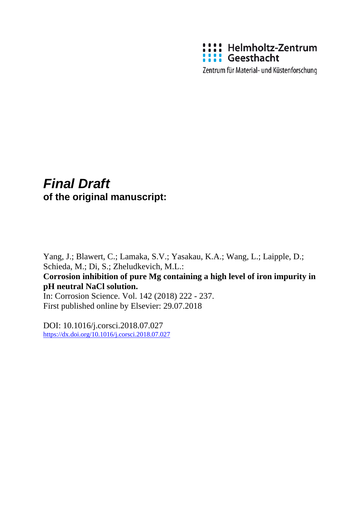

Zentrum für Material- und Küstenforschung

# *Final Draft*  **of the original manuscript:**

Yang, J.; Blawert, C.; Lamaka, S.V.; Yasakau, K.A.; Wang, L.; Laipple, D.; Schieda, M.; Di, S.; Zheludkevich, M.L.: **Corrosion inhibition of pure Mg containing a high level of iron impurity in pH neutral NaCl solution.**  In: Corrosion Science. Vol. 142 (2018) 222 - 237. First published online by Elsevier: 29.07.2018

DOI: 10.1016/j.corsci.2018.07.027 <https://dx.doi.org/10.1016/j.corsci.2018.07.027>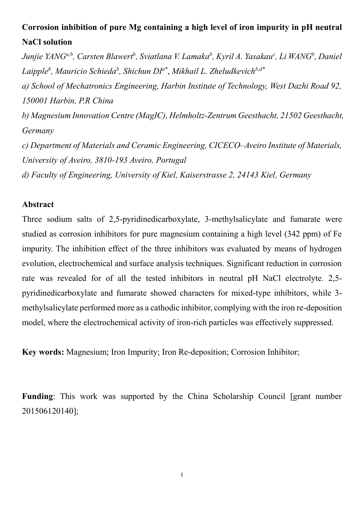## **Corrosion inhibition of pure Mg containing a high level of iron impurity in pH neutral NaCl solution**

*Junjie YANGa,b, Carsten Blawert<sup>b</sup> , Sviatlana V. Lamaka<sup>b</sup> , Kyril A. Yasakau<sup>c</sup> , Li WANG<sup>b</sup> , Daniel Laipple<sup>b</sup> , Mauricio Schieda<sup>b</sup> , Shichun DI a\** , *Mikhail L. Zheludkevichb,d\**

*a) School of Mechatronics Engineering, Harbin Institute of Technology, West Dazhi Road 92, 150001 Harbin, P.R China*

*b) Magnesium Innovation Centre (MagIC), Helmholtz-Zentrum Geesthacht, 21502 Geesthacht, Germany*

*c) Department of Materials and Ceramic Engineering, CICECO–Aveiro Institute of Materials, University of Aveiro, 3810-193 Aveiro, Portugal*

*d) Faculty of Engineering, University of Kiel, Kaiserstrasse 2, 24143 Kiel, Germany*

### **Abstract**

Three sodium salts of 2,5-pyridinedicarboxylate, 3-methylsalicylate and fumarate were studied as corrosion inhibitors for pure magnesium containing a high level (342 ppm) of Fe impurity. The inhibition effect of the three inhibitors was evaluated by means of hydrogen evolution, electrochemical and surface analysis techniques. Significant reduction in corrosion rate was revealed for of all the tested inhibitors in neutral pH NaCl electrolyte. 2,5 pyridinedicarboxylate and fumarate showed characters for mixed-type inhibitors, while 3 methylsalicylate performed more as a cathodic inhibitor, complying with the iron re-deposition model, where the electrochemical activity of iron-rich particles was effectively suppressed.

**Key words:** Magnesium; Iron Impurity; Iron Re-deposition; Corrosion Inhibitor;

**Funding**: This work was supported by the China Scholarship Council [grant number 201506120140];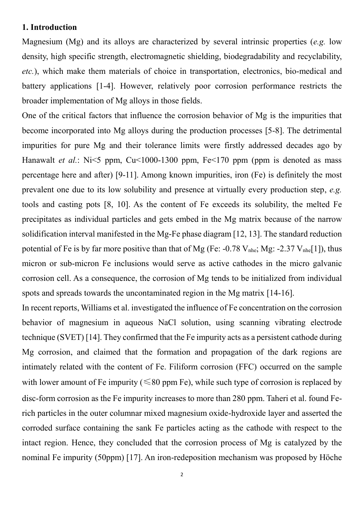### **1. Introduction**

Magnesium (Mg) and its alloys are characterized by several intrinsic properties (*e.g.* low density, high specific strength, electromagnetic shielding, biodegradability and recyclability, *etc.*), which make them materials of choice in transportation, electronics, bio-medical and battery applications [1-4]. However, relatively poor corrosion performance restricts the broader implementation of Mg alloys in those fields.

One of the critical factors that influence the corrosion behavior of Mg is the impurities that become incorporated into Mg alloys during the production processes [5-8]. The detrimental impurities for pure Mg and their tolerance limits were firstly addressed decades ago by Hanawalt *et al.*: Ni<5 ppm, Cu<1000-1300 ppm, Fe<170 ppm (ppm is denoted as mass percentage here and after) [9-11]. Among known impurities, iron (Fe) is definitely the most prevalent one due to its low solubility and presence at virtually every production step, *e.g.* tools and casting pots [8, 10]. As the content of Fe exceeds its solubility, the melted Fe precipitates as individual particles and gets embed in the Mg matrix because of the narrow solidification interval manifested in the Mg-Fe phase diagram [12, 13]. The standard reduction potential of Fe is by far more positive than that of Mg (Fe:  $-0.78$  V<sub>nhe</sub>; Mg:  $-2.37$  V<sub>nhe</sub>[1]), thus micron or sub-micron Fe inclusions would serve as active cathodes in the micro galvanic corrosion cell. As a consequence, the corrosion of Mg tends to be initialized from individual spots and spreads towards the uncontaminated region in the Mg matrix [14-16].

In recent reports, Williams et al. investigated the influence of Fe concentration on the corrosion behavior of magnesium in aqueous NaCl solution, using scanning vibrating electrode technique (SVET) [14]. They confirmed that the Fe impurity acts as a persistent cathode during Mg corrosion, and claimed that the formation and propagation of the dark regions are intimately related with the content of Fe. Filiform corrosion (FFC) occurred on the sample with lower amount of Fe impurity ( $\leq 80$  ppm Fe), while such type of corrosion is replaced by disc-form corrosion as the Fe impurity increases to more than 280 ppm. Taheri et al. found Ferich particles in the outer columnar mixed magnesium oxide-hydroxide layer and asserted the corroded surface containing the sank Fe particles acting as the cathode with respect to the intact region. Hence, they concluded that the corrosion process of Mg is catalyzed by the nominal Fe impurity (50ppm) [17]. An iron-redeposition mechanism was proposed by Höche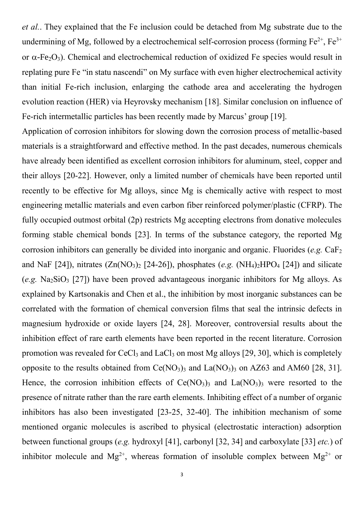*et al.*. They explained that the Fe inclusion could be detached from Mg substrate due to the undermining of Mg, followed by a electrochemical self-corrosion process (forming  $Fe^{2+}$ ,  $Fe^{3+}$ or  $\alpha$ -Fe<sub>2</sub>O<sub>3</sub>). Chemical and electrochemical reduction of oxidized Fe species would result in replating pure Fe "in statu nascendi" on My surface with even higher electrochemical activity than initial Fe-rich inclusion, enlarging the cathode area and accelerating the hydrogen evolution reaction (HER) via Heyrovsky mechanism [18]. Similar conclusion on influence of Fe-rich intermetallic particles has been recently made by Marcus' group [19].

Application of corrosion inhibitors for slowing down the corrosion process of metallic-based materials is a straightforward and effective method. In the past decades, numerous chemicals have already been identified as excellent corrosion inhibitors for aluminum, steel, copper and their alloys [20-22]. However, only a limited number of chemicals have been reported until recently to be effective for Mg alloys, since Mg is chemically active with respect to most engineering metallic materials and even carbon fiber reinforced polymer/plastic (CFRP). The fully occupied outmost orbital (2p) restricts Mg accepting electrons from donative molecules forming stable chemical bonds [23]. In terms of the substance category, the reported Mg corrosion inhibitors can generally be divided into inorganic and organic. Fluorides (*e.g.* CaF<sub>2</sub>) and NaF  $[24]$ ), nitrates  $(Zn(NO_3)_2 [24-26])$ , phosphates (*e.g.*  $(NH_4)_2 HPO_4 [24]$ ) and silicate (*e.g.* Na<sub>2</sub>SiO<sub>3</sub> [27]) have been proved advantageous inorganic inhibitors for Mg alloys. As explained by Kartsonakis and Chen et al., the inhibition by most inorganic substances can be correlated with the formation of chemical conversion films that seal the intrinsic defects in magnesium hydroxide or oxide layers [24, 28]. Moreover, controversial results about the inhibition effect of rare earth elements have been reported in the recent literature. Corrosion promotion was revealed for CeCl<sub>3</sub> and LaCl<sub>3</sub> on most Mg alloys [29, 30], which is completely opposite to the results obtained from  $Ce(NO<sub>3</sub>)<sub>3</sub>$  and La $(NO<sub>3</sub>)<sub>3</sub>$  on AZ63 and AM60 [28, 31]. Hence, the corrosion inhibition effects of  $Ce(NO_3)$ <sub>3</sub> and  $La(NO_3)$ <sub>3</sub> were resorted to the presence of nitrate rather than the rare earth elements. Inhibiting effect of a number of organic inhibitors has also been investigated [23-25, 32-40]. The inhibition mechanism of some mentioned organic molecules is ascribed to physical (electrostatic interaction) adsorption between functional groups (*e.g.* hydroxyl [41], carbonyl [32, 34] and carboxylate [33] *etc.*) of inhibitor molecule and Mg<sup>2+</sup>, whereas formation of insoluble complex between Mg<sup>2+</sup> or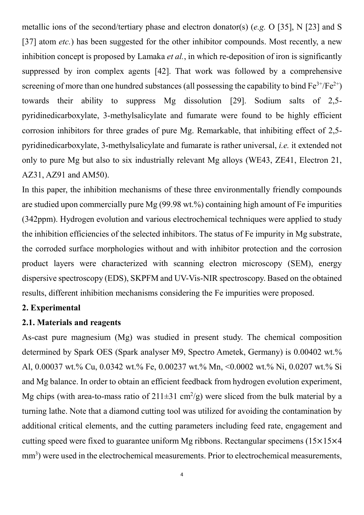metallic ions of the second/tertiary phase and electron donator(s) (*e.g.* O [35], N [23] and S [37] atom *etc.*) has been suggested for the other inhibitor compounds. Most recently, a new inhibition concept is proposed by Lamaka *et al.*, in which re-deposition of iron is significantly suppressed by iron complex agents [42]. That work was followed by a comprehensive screening of more than one hundred substances (all possessing the capability to bind  $Fe^{3+}/Fe^{2+}$ ) towards their ability to suppress Mg dissolution [29]. Sodium salts of 2,5 pyridinedicarboxylate, 3-methylsalicylate and fumarate were found to be highly efficient corrosion inhibitors for three grades of pure Mg. Remarkable, that inhibiting effect of 2,5 pyridinedicarboxylate, 3-methylsalicylate and fumarate is rather universal, *i.e.* it extended not only to pure Mg but also to six industrially relevant Mg alloys (WE43, ZE41, Electron 21, AZ31, AZ91 and AM50).

In this paper, the inhibition mechanisms of these three environmentally friendly compounds are studied upon commercially pure Mg (99.98 wt.%) containing high amount of Fe impurities (342ppm). Hydrogen evolution and various electrochemical techniques were applied to study the inhibition efficiencies of the selected inhibitors. The status of Fe impurity in Mg substrate, the corroded surface morphologies without and with inhibitor protection and the corrosion product layers were characterized with scanning electron microscopy (SEM), energy dispersive spectroscopy (EDS), SKPFM and UV-Vis-NIR spectroscopy. Based on the obtained results, different inhibition mechanisms considering the Fe impurities were proposed.

### **2. Experimental**

### **2.1. Materials and reagents**

As-cast pure magnesium (Mg) was studied in present study. The chemical composition determined by Spark OES (Spark analyser M9, Spectro Ametek, Germany) is 0.00402 wt.% Al, 0.00037 wt.% Cu, 0.0342 wt.% Fe, 0.00237 wt.% Mn, <0.0002 wt.% Ni, 0.0207 wt.% Si and Mg balance. In order to obtain an efficient feedback from hydrogen evolution experiment, Mg chips (with area-to-mass ratio of  $211\pm31$  cm<sup>2</sup>/g) were sliced from the bulk material by a turning lathe. Note that a diamond cutting tool was utilized for avoiding the contamination by additional critical elements, and the cutting parameters including feed rate, engagement and cutting speed were fixed to guarantee uniform Mg ribbons. Rectangular specimens (15×15×4 mm<sup>3</sup>) were used in the electrochemical measurements. Prior to electrochemical measurements,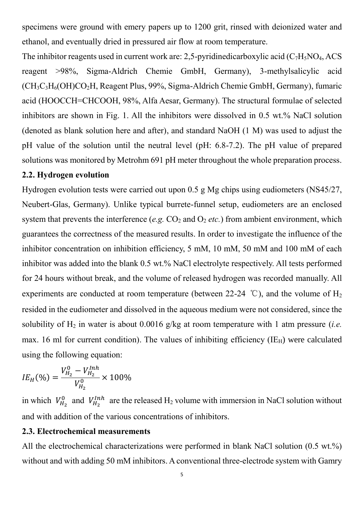specimens were ground with emery papers up to 1200 grit, rinsed with deionized water and ethanol, and eventually dried in pressured air flow at room temperature.

The inhibitor reagents used in current work are: 2,5-pyridinedicarboxylic acid  $(C_7H_5NO_4$ , ACS reagent >98%, Sigma-Aldrich Chemie GmbH, Germany), 3-methylsalicylic acid (CH3C3H6(OH)CO2H, Reagent Plus, 99%, Sigma-Aldrich Chemie GmbH, Germany), fumaric acid (HOOCCH=CHCOOH, 98%, Alfa Aesar, Germany). The structural formulae of selected inhibitors are shown in Fig. 1. All the inhibitors were dissolved in 0.5 wt.% NaCl solution (denoted as blank solution here and after), and standard NaOH (1 M) was used to adjust the pH value of the solution until the neutral level (pH: 6.8-7.2). The pH value of prepared solutions was monitored by Metrohm 691 pH meter throughout the whole preparation process.

### **2.2. Hydrogen evolution**

Hydrogen evolution tests were carried out upon 0.5 g Mg chips using eudiometers (NS45/27, Neubert-Glas, Germany). Unlike typical burrete-funnel setup, eudiometers are an enclosed system that prevents the interference (*e.g.*  $CO_2$  and  $O_2$  *etc.*) from ambient environment, which guarantees the correctness of the measured results. In order to investigate the influence of the inhibitor concentration on inhibition efficiency, 5 mM, 10 mM, 50 mM and 100 mM of each inhibitor was added into the blank 0.5 wt.% NaCl electrolyte respectively. All tests performed for 24 hours without break, and the volume of released hydrogen was recorded manually. All experiments are conducted at room temperature (between 22-24 °C), and the volume of  $H_2$ resided in the eudiometer and dissolved in the aqueous medium were not considered, since the solubility of  $H_2$  in water is about 0.0016 g/kg at room temperature with 1 atm pressure *(i.e.*) max. 16 ml for current condition). The values of inhibiting efficiency ( $IE_H$ ) were calculated using the following equation:

$$
IE_H(\%) = \frac{V_{H_2}^0 - V_{H_2}^{Inh}}{V_{H_2}^0} \times 100\%
$$

in which  $V_{H_2}^0$  and  $V_{H_2}^{Inh}$  are the released  $H_2$  volume with immersion in NaCl solution without and with addition of the various concentrations of inhibitors.

### **2.3. Electrochemical measurements**

All the electrochemical characterizations were performed in blank NaCl solution (0.5 wt.%) without and with adding 50 mM inhibitors. A conventional three-electrode system with Gamry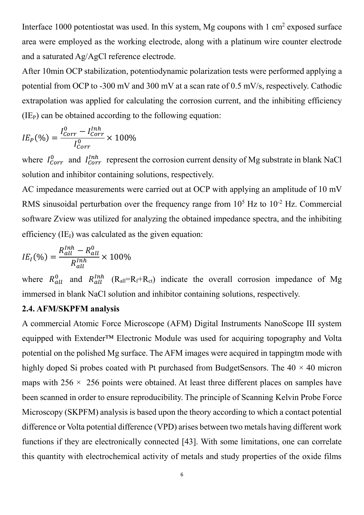Interface 1000 potentiostat was used. In this system, Mg coupons with  $1 \text{ cm}^2$  exposed surface area were employed as the working electrode, along with a platinum wire counter electrode and a saturated Ag/AgCl reference electrode.

After 10min OCP stabilization, potentiodynamic polarization tests were performed applying a potential from OCP to -300 mV and 300 mV at a scan rate of 0.5 mV/s, respectively. Cathodic extrapolation was applied for calculating the corrosion current, and the inhibiting efficiency  $(IE<sub>P</sub>)$  can be obtained according to the following equation:

$$
IE_P(\%) = \frac{I_{Corr}^0 - I_{Corr}^{Inh}}{I_{Corr}^0} \times 100\%
$$

where  $I_{Corr}^0$  and  $I_{Corr}^{Inh}$  represent the corrosion current density of Mg substrate in blank NaCl solution and inhibitor containing solutions, respectively.

AC impedance measurements were carried out at OCP with applying an amplitude of 10 mV RMS sinusoidal perturbation over the frequency range from  $10^5$  Hz to  $10^{-2}$  Hz. Commercial software Zview was utilized for analyzing the obtained impedance spectra, and the inhibiting efficiency  $(IE_I)$  was calculated as the given equation:

$$
IE_I(\%) = \frac{R_{all}^{Inh} - R_{all}^0}{R_{all}^{Inh}} \times 100\%
$$

where  $R_{all}^0$  and  $R_{all}^{Inh}$  ( $R_{all}=R_f+R_{ct}$ ) indicate the overall corrosion impedance of Mg immersed in blank NaCl solution and inhibitor containing solutions, respectively.

### **2.4. AFM/SKPFM analysis**

A commercial Atomic Force Microscope (AFM) Digital Instruments NanoScope III system equipped with Extender™ Electronic Module was used for acquiring topography and Volta potential on the polished Mg surface. The AFM images were acquired in tappingtm mode with highly doped Si probes coated with Pt purchased from BudgetSensors. The  $40 \times 40$  micron maps with  $256 \times 256$  points were obtained. At least three different places on samples have been scanned in order to ensure reproducibility. The principle of Scanning Kelvin Probe Force Microscopy (SKPFM) analysis is based upon the theory according to which a contact potential difference or Volta potential difference (VPD) arises between two metals having different work functions if they are electronically connected [43]. With some limitations, one can correlate this quantity with electrochemical activity of metals and study properties of the oxide films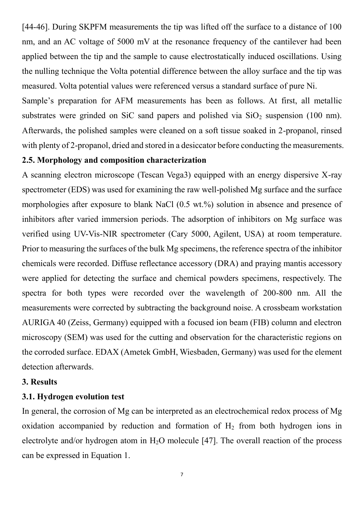[44-46]. During SKPFM measurements the tip was lifted off the surface to a distance of 100 nm, and an AC voltage of 5000 mV at the resonance frequency of the cantilever had been applied between the tip and the sample to cause electrostatically induced oscillations. Using the nulling technique the Volta potential difference between the alloy surface and the tip was measured. Volta potential values were referenced versus a standard surface of pure Ni.

Sample's preparation for AFM measurements has been as follows. At first, all metallic substrates were grinded on SiC sand papers and polished via  $SiO<sub>2</sub>$  suspension (100 nm). Afterwards, the polished samples were cleaned on a soft tissue soaked in 2-propanol, rinsed with plenty of 2-propanol, dried and stored in a desiccator before conducting the measurements.

### **2.5. Morphology and composition characterization**

A scanning electron microscope (Tescan Vega3) equipped with an energy dispersive X-ray spectrometer (EDS) was used for examining the raw well-polished Mg surface and the surface morphologies after exposure to blank NaCl (0.5 wt.%) solution in absence and presence of inhibitors after varied immersion periods. The adsorption of inhibitors on Mg surface was verified using UV-Vis-NIR spectrometer (Cary 5000, Agilent, USA) at room temperature. Prior to measuring the surfaces of the bulk Mg specimens, the reference spectra of the inhibitor chemicals were recorded. Diffuse reflectance accessory (DRA) and praying mantis accessory were applied for detecting the surface and chemical powders specimens, respectively. The spectra for both types were recorded over the wavelength of 200-800 nm. All the measurements were corrected by subtracting the background noise. A crossbeam workstation AURIGA 40 (Zeiss, Germany) equipped with a focused ion beam (FIB) column and electron microscopy (SEM) was used for the cutting and observation for the characteristic regions on the corroded surface. EDAX (Ametek GmbH, Wiesbaden, Germany) was used for the element detection afterwards.

### **3. Results**

### **3.1. Hydrogen evolution test**

In general, the corrosion of Mg can be interpreted as an electrochemical redox process of Mg oxidation accompanied by reduction and formation of  $H_2$  from both hydrogen ions in electrolyte and/or hydrogen atom in  $H_2O$  molecule [47]. The overall reaction of the process can be expressed in Equation 1.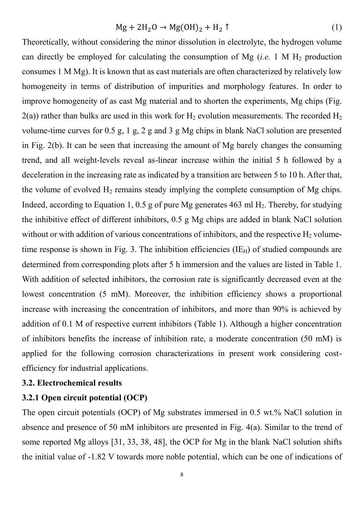$$
Mg + 2H_2O \rightarrow Mg(OH)_2 + H_2 \uparrow
$$
 (1)

Theoretically, without considering the minor dissolution in electrolyte, the hydrogen volume can directly be employed for calculating the consumption of Mg (*i.e.* 1 M  $H_2$  production consumes 1 M Mg). It is known that as cast materials are often characterized by relatively low homogeneity in terms of distribution of impurities and morphology features. In order to improve homogeneity of as cast Mg material and to shorten the experiments, Mg chips (Fig.  $2(a)$ ) rather than bulks are used in this work for H<sub>2</sub> evolution measurements. The recorded H<sub>2</sub> volume-time curves for 0.5 g, 1 g, 2 g and 3 g Mg chips in blank NaCl solution are presented in Fig. 2(b). It can be seen that increasing the amount of Mg barely changes the consuming trend, and all weight-levels reveal as-linear increase within the initial 5 h followed by a deceleration in the increasing rate as indicated by a transition arc between 5 to 10 h. After that, the volume of evolved  $H_2$  remains steady implying the complete consumption of Mg chips. Indeed, according to Equation 1, 0.5 g of pure Mg generates 463 ml  $H_2$ . Thereby, for studying the inhibitive effect of different inhibitors, 0.5 g Mg chips are added in blank NaCl solution without or with addition of various concentrations of inhibitors, and the respective  $H_2$  volumetime response is shown in Fig. 3. The inhibition efficiencies  $(IE_H)$  of studied compounds are determined from corresponding plots after 5 h immersion and the values are listed in Table 1. With addition of selected inhibitors, the corrosion rate is significantly decreased even at the lowest concentration (5 mM). Moreover, the inhibition efficiency shows a proportional increase with increasing the concentration of inhibitors, and more than 90% is achieved by addition of 0.1 M of respective current inhibitors (Table 1). Although a higher concentration of inhibitors benefits the increase of inhibition rate, a moderate concentration (50 mM) is applied for the following corrosion characterizations in present work considering costefficiency for industrial applications.

#### **3.2. Electrochemical results**

### **3.2.1 Open circuit potential (OCP)**

The open circuit potentials (OCP) of Mg substrates immersed in 0.5 wt.% NaCl solution in absence and presence of 50 mM inhibitors are presented in Fig. 4(a). Similar to the trend of some reported Mg alloys [31, 33, 38, 48], the OCP for Mg in the blank NaCl solution shifts the initial value of -1.82 V towards more noble potential, which can be one of indications of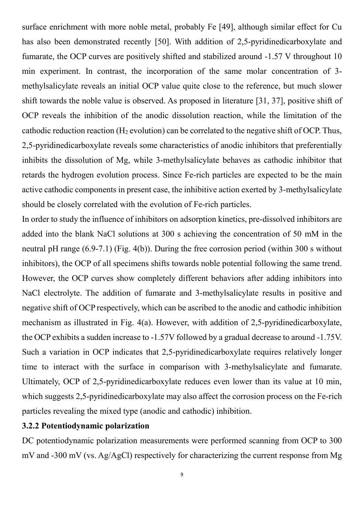surface enrichment with more noble metal, probably Fe [49], although similar effect for Cu has also been demonstrated recently [50]. With addition of 2,5-pyridinedicarboxylate and fumarate, the OCP curves are positively shifted and stabilized around -1.57 V throughout 10 min experiment. In contrast, the incorporation of the same molar concentration of 3 methylsalicylate reveals an initial OCP value quite close to the reference, but much slower shift towards the noble value is observed. As proposed in literature [31, 37], positive shift of OCP reveals the inhibition of the anodic dissolution reaction, while the limitation of the cathodic reduction reaction ( $H_2$  evolution) can be correlated to the negative shift of OCP. Thus, 2,5-pyridinedicarboxylate reveals some characteristics of anodic inhibitors that preferentially inhibits the dissolution of Mg, while 3-methylsalicylate behaves as cathodic inhibitor that retards the hydrogen evolution process. Since Fe-rich particles are expected to be the main active cathodic components in present case, the inhibitive action exerted by 3-methylsalicylate should be closely correlated with the evolution of Fe-rich particles.

In order to study the influence of inhibitors on adsorption kinetics, pre-dissolved inhibitors are added into the blank NaCl solutions at 300 s achieving the concentration of 50 mM in the neutral pH range (6.9-7.1) (Fig. 4(b)). During the free corrosion period (within 300 s without inhibitors), the OCP of all specimens shifts towards noble potential following the same trend. However, the OCP curves show completely different behaviors after adding inhibitors into NaCl electrolyte. The addition of fumarate and 3-methylsalicylate results in positive and negative shift of OCP respectively, which can be ascribed to the anodic and cathodic inhibition mechanism as illustrated in Fig. 4(a). However, with addition of 2,5-pyridinedicarboxylate, the OCP exhibits a sudden increase to -1.57V followed by a gradual decrease to around -1.75V. Such a variation in OCP indicates that 2,5-pyridinedicarboxylate requires relatively longer time to interact with the surface in comparison with 3-methylsalicylate and fumarate. Ultimately, OCP of 2,5-pyridinedicarboxylate reduces even lower than its value at 10 min, which suggests 2,5-pyridinedicarboxylate may also affect the corrosion process on the Fe-rich particles revealing the mixed type (anodic and cathodic) inhibition.

### **3.2.2 Potentiodynamic polarization**

DC potentiodynamic polarization measurements were performed scanning from OCP to 300 mV and -300 mV (vs. Ag/AgCl) respectively for characterizing the current response from Mg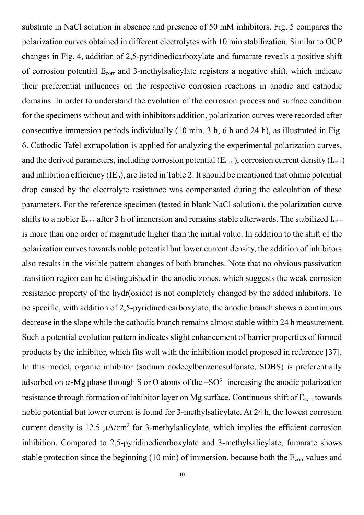substrate in NaCl solution in absence and presence of 50 mM inhibitors. Fig. 5 compares the polarization curves obtained in different electrolytes with 10 min stabilization. Similar to OCP changes in Fig. 4, addition of 2,5-pyridinedicarboxylate and fumarate reveals a positive shift of corrosion potential  $E_{corr}$  and 3-methylsalicylate registers a negative shift, which indicate their preferential influences on the respective corrosion reactions in anodic and cathodic domains. In order to understand the evolution of the corrosion process and surface condition for the specimens without and with inhibitors addition, polarization curves were recorded after consecutive immersion periods individually (10 min, 3 h, 6 h and 24 h), as illustrated in Fig. 6. Cathodic Tafel extrapolation is applied for analyzing the experimental polarization curves, and the derived parameters, including corrosion potential  $(E_{corr})$ , corrosion current density  $(I_{corr})$ and inhibition efficiency  $(IE_p)$ , are listed in Table 2. It should be mentioned that ohmic potential drop caused by the electrolyte resistance was compensated during the calculation of these parameters. For the reference specimen (tested in blank NaCl solution), the polarization curve shifts to a nobler  $E_{corr}$  after 3 h of immersion and remains stable afterwards. The stabilized  $I_{corr}$ is more than one order of magnitude higher than the initial value. In addition to the shift of the polarization curves towards noble potential but lower current density, the addition of inhibitors also results in the visible pattern changes of both branches. Note that no obvious passivation transition region can be distinguished in the anodic zones, which suggests the weak corrosion resistance property of the hydr(oxide) is not completely changed by the added inhibitors. To be specific, with addition of 2,5-pyridinedicarboxylate, the anodic branch shows a continuous decrease in the slope while the cathodic branch remains almost stable within 24 h measurement. Such a potential evolution pattern indicates slight enhancement of barrier properties of formed products by the inhibitor, which fits well with the inhibition model proposed in reference [37]. In this model, organic inhibitor (sodium dodecylbenzenesulfonate, SDBS) is preferentially adsorbed on  $\alpha$ -Mg phase through S or O atoms of the –SO<sup>3–</sup> increasing the anodic polarization resistance through formation of inhibitor layer on Mg surface. Continuous shift of E<sub>corr</sub> towards noble potential but lower current is found for 3-methylsalicylate. At 24 h, the lowest corrosion current density is  $12.5 \mu A/cm^2$  for 3-methylsalicylate, which implies the efficient corrosion inhibition. Compared to 2,5-pyridinedicarboxylate and 3-methylsalicylate, fumarate shows stable protection since the beginning (10 min) of immersion, because both the  $E_{corr}$  values and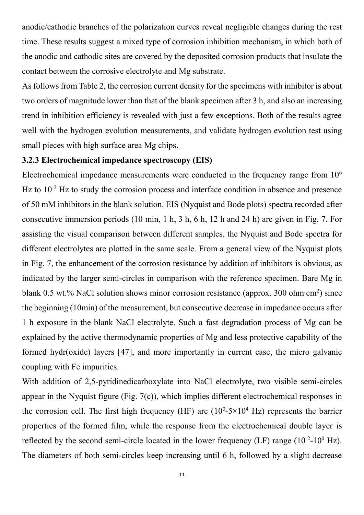anodic/cathodic branches of the polarization curves reveal negligible changes during the rest time. These results suggest a mixed type of corrosion inhibition mechanism, in which both of the anodic and cathodic sites are covered by the deposited corrosion products that insulate the contact between the corrosive electrolyte and Mg substrate.

As follows from Table 2, the corrosion current density for the specimens with inhibitor is about two orders of magnitude lower than that of the blank specimen after 3 h, and also an increasing trend in inhibition efficiency is revealed with just a few exceptions. Both of the results agree well with the hydrogen evolution measurements, and validate hydrogen evolution test using small pieces with high surface area Mg chips.

### **3.2.3 Electrochemical impedance spectroscopy (EIS)**

Electrochemical impedance measurements were conducted in the frequency range from 10<sup>6</sup> Hz to  $10^{-2}$  Hz to study the corrosion process and interface condition in absence and presence of 50 mM inhibitors in the blank solution. EIS (Nyquist and Bode plots) spectra recorded after consecutive immersion periods (10 min, 1 h, 3 h, 6 h, 12 h and 24 h) are given in Fig. 7. For assisting the visual comparison between different samples, the Nyquist and Bode spectra for different electrolytes are plotted in the same scale. From a general view of the Nyquist plots in Fig. 7, the enhancement of the corrosion resistance by addition of inhibitors is obvious, as indicated by the larger semi-circles in comparison with the reference specimen. Bare Mg in blank 0.5 wt.% NaCl solution shows minor corrosion resistance (approx. 300 ohm∙cm<sup>2</sup>) since the beginning (10min) of the measurement, but consecutive decrease in impedance occurs after 1 h exposure in the blank NaCl electrolyte. Such a fast degradation process of Mg can be explained by the active thermodynamic properties of Mg and less protective capability of the formed hydr(oxide) layers [47], and more importantly in current case, the micro galvanic coupling with Fe impurities.

With addition of 2,5-pyridinedicarboxylate into NaCl electrolyte, two visible semi-circles appear in the Nyquist figure (Fig. 7(c)), which implies different electrochemical responses in the corrosion cell. The first high frequency (HF) arc  $(10^0\t{-}5\times10^4\t{~\rm Hz})$  represents the barrier properties of the formed film, while the response from the electrochemical double layer is reflected by the second semi-circle located in the lower frequency (LF) range  $(10^{-2}$ - $10^{0}$  Hz). The diameters of both semi-circles keep increasing until 6 h, followed by a slight decrease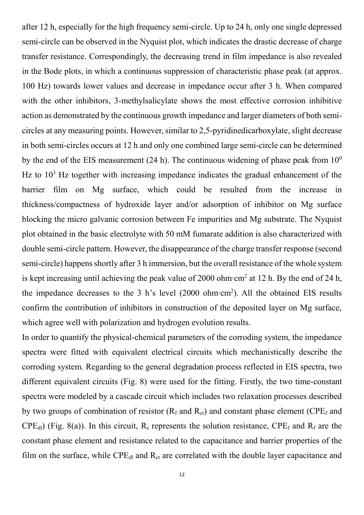after 12 h, especially for the high frequency semi-circle. Up to 24 h, only one single depressed semi-circle can be observed in the Nyquist plot, which indicates the drastic decrease of charge transfer resistance. Correspondingly, the decreasing trend in film impedance is also revealed in the Bode plots, in which a continuous suppression of characteristic phase peak (at approx. 100 Hz) towards lower values and decrease in impedance occur after 3 h. When compared with the other inhibitors, 3-methylsalicylate shows the most effective corrosion inhibitive action as demonstrated by the continuous growth impedance and larger diameters of both semicircles at any measuring points. However, similar to 2,5-pyridinedicarboxylate, slight decrease in both semi-circles occurs at 12 h and only one combined large semi-circle can be determined by the end of the EIS measurement (24 h). The continuous widening of phase peak from  $10<sup>0</sup>$ Hz to  $10<sup>3</sup>$  Hz together with increasing impedance indicates the gradual enhancement of the barrier film on Mg surface, which could be resulted from the increase in thickness/compactness of hydroxide layer and/or adsorption of inhibitor on Mg surface blocking the micro galvanic corrosion between Fe impurities and Mg substrate. The Nyquist plot obtained in the basic electrolyte with 50 mM fumarate addition is also characterized with double semi-circle pattern. However, the disappearance of the charge transfer response (second semi-circle) happens shortly after 3 h immersion, but the overall resistance of the whole system is kept increasing until achieving the peak value of 2000 ohm∙cm<sup>2</sup> at 12 h. By the end of 24 h, the impedance decreases to the 3 h's level (2000 ohm∙cm<sup>2</sup> ). All the obtained EIS results confirm the contribution of inhibitors in construction of the deposited layer on Mg surface, which agree well with polarization and hydrogen evolution results.

In order to quantify the physical-chemical parameters of the corroding system, the impedance spectra were fitted with equivalent electrical circuits which mechanistically describe the corroding system. Regarding to the general degradation process reflected in EIS spectra, two different equivalent circuits (Fig. 8) were used for the fitting. Firstly, the two time-constant spectra were modeled by a cascade circuit which includes two relaxation processes described by two groups of combination of resistor  $(R_f \text{ and } R_{cf})$  and constant phase element (CPE<sub>f</sub> and  $CPE_{d}$ ) (Fig. 8(a)). In this circuit, R<sub>s</sub> represents the solution resistance,  $CPE_f$  and R<sub>f</sub> are the constant phase element and resistance related to the capacitance and barrier properties of the film on the surface, while  $\text{CPE}_{\text{dl}}$  and  $\text{R}_{\text{ct}}$  are correlated with the double layer capacitance and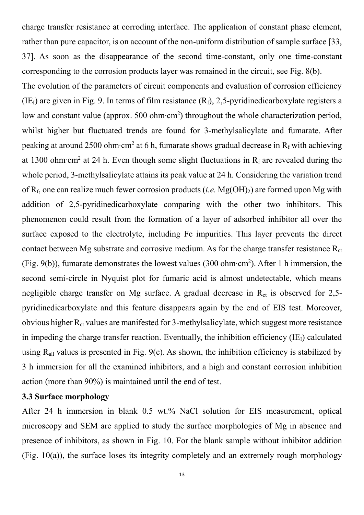charge transfer resistance at corroding interface. The application of constant phase element, rather than pure capacitor, is on account of the non-uniform distribution of sample surface [33, 37]. As soon as the disappearance of the second time-constant, only one time-constant corresponding to the corrosion products layer was remained in the circuit, see Fig. 8(b).

The evolution of the parameters of circuit components and evaluation of corrosion efficiency  $(IE<sub>I</sub>)$  are given in Fig. 9. In terms of film resistance  $(Re<sub>I</sub>)$ , 2,5-pyridinedicarboxylate registers a low and constant value (approx. 500 ohm∙cm<sup>2</sup>) throughout the whole characterization period, whilst higher but fluctuated trends are found for 3-methylsalicylate and fumarate. After peaking at around 2500 ohm∙cm<sup>2</sup> at 6 h, fumarate shows gradual decrease in R<sub>f</sub> with achieving at 1300 ohm∙cm<sup>2</sup> at 24 h. Even though some slight fluctuations in R<sub>f</sub> are revealed during the whole period, 3-methylsalicylate attains its peak value at 24 h. Considering the variation trend of Rf, one can realize much fewer corrosion products (*i.e.* Mg(OH)2) are formed upon Mg with addition of 2,5-pyridinedicarboxylate comparing with the other two inhibitors. This phenomenon could result from the formation of a layer of adsorbed inhibitor all over the surface exposed to the electrolyte, including Fe impurities. This layer prevents the direct contact between Mg substrate and corrosive medium. As for the charge transfer resistance  $R_{ct}$ (Fig. 9(b)), fumarate demonstrates the lowest values (300 ohm∙cm<sup>2</sup> ). After 1 h immersion, the second semi-circle in Nyquist plot for fumaric acid is almost undetectable, which means negligible charge transfer on Mg surface. A gradual decrease in  $R<sub>ct</sub>$  is observed for 2,5pyridinedicarboxylate and this feature disappears again by the end of EIS test. Moreover, obvious higher  $R_{ct}$  values are manifested for 3-methylsalicylate, which suggest more resistance in impeding the charge transfer reaction. Eventually, the inhibition efficiency  $(IE_I)$  calculated using  $R_{all}$  values is presented in Fig. 9(c). As shown, the inhibition efficiency is stabilized by 3 h immersion for all the examined inhibitors, and a high and constant corrosion inhibition action (more than 90%) is maintained until the end of test.

### **3.3 Surface morphology**

After 24 h immersion in blank 0.5 wt.% NaCl solution for EIS measurement, optical microscopy and SEM are applied to study the surface morphologies of Mg in absence and presence of inhibitors, as shown in Fig. 10. For the blank sample without inhibitor addition (Fig. 10(a)), the surface loses its integrity completely and an extremely rough morphology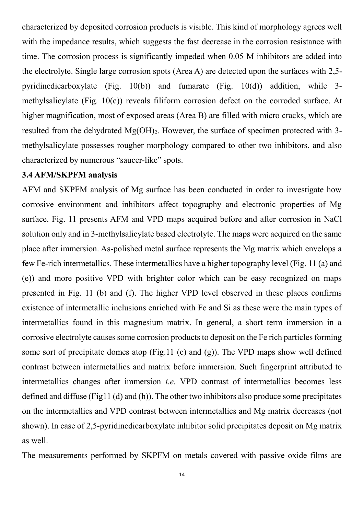characterized by deposited corrosion products is visible. This kind of morphology agrees well with the impedance results, which suggests the fast decrease in the corrosion resistance with time. The corrosion process is significantly impeded when 0.05 M inhibitors are added into the electrolyte. Single large corrosion spots (Area A) are detected upon the surfaces with 2,5 pyridinedicarboxylate (Fig. 10(b)) and fumarate (Fig. 10(d)) addition, while 3 methylsalicylate (Fig. 10(c)) reveals filiform corrosion defect on the corroded surface. At higher magnification, most of exposed areas (Area B) are filled with micro cracks, which are resulted from the dehydrated  $Mg(OH)_{2}$ . However, the surface of specimen protected with 3methylsalicylate possesses rougher morphology compared to other two inhibitors, and also characterized by numerous "saucer-like" spots.

#### **3.4 AFM/SKPFM analysis**

AFM and SKPFM analysis of Mg surface has been conducted in order to investigate how corrosive environment and inhibitors affect topography and electronic properties of Mg surface. Fig. 11 presents AFM and VPD maps acquired before and after corrosion in NaCl solution only and in 3-methylsalicylate based electrolyte. The maps were acquired on the same place after immersion. As-polished metal surface represents the Mg matrix which envelops a few Fe-rich intermetallics. These intermetallics have a higher topography level (Fig. 11 (a) and (e)) and more positive VPD with brighter color which can be easy recognized on maps presented in Fig. 11 (b) and (f). The higher VPD level observed in these places confirms existence of intermetallic inclusions enriched with Fe and Si as these were the main types of intermetallics found in this magnesium matrix. In general, a short term immersion in a corrosive electrolyte causes some corrosion products to deposit on the Fe rich particles forming some sort of precipitate domes atop (Fig.11 (c) and (g)). The VPD maps show well defined contrast between intermetallics and matrix before immersion. Such fingerprint attributed to intermetallics changes after immersion *i.e.* VPD contrast of intermetallics becomes less defined and diffuse (Fig11 (d) and (h)). The other two inhibitors also produce some precipitates on the intermetallics and VPD contrast between intermetallics and Mg matrix decreases (not shown). In case of 2,5-pyridinedicarboxylate inhibitor solid precipitates deposit on Mg matrix as well.

The measurements performed by SKPFM on metals covered with passive oxide films are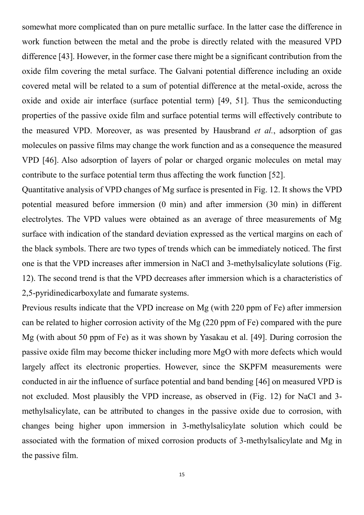somewhat more complicated than on pure metallic surface. In the latter case the difference in work function between the metal and the probe is directly related with the measured VPD difference [43]. However, in the former case there might be a significant contribution from the oxide film covering the metal surface. The Galvani potential difference including an oxide covered metal will be related to a sum of potential difference at the metal-oxide, across the oxide and oxide air interface (surface potential term) [49, 51]. Thus the semiconducting properties of the passive oxide film and surface potential terms will effectively contribute to the measured VPD. Moreover, as was presented by Hausbrand *et al.*, adsorption of gas molecules on passive films may change the work function and as a consequence the measured VPD [46]. Also adsorption of layers of polar or charged organic molecules on metal may contribute to the surface potential term thus affecting the work function [52].

Quantitative analysis of VPD changes of Mg surface is presented in Fig. 12. It shows the VPD potential measured before immersion (0 min) and after immersion (30 min) in different electrolytes. The VPD values were obtained as an average of three measurements of Mg surface with indication of the standard deviation expressed as the vertical margins on each of the black symbols. There are two types of trends which can be immediately noticed. The first one is that the VPD increases after immersion in NaCl and 3-methylsalicylate solutions (Fig. 12). The second trend is that the VPD decreases after immersion which is a characteristics of 2,5-pyridinedicarboxylate and fumarate systems.

Previous results indicate that the VPD increase on Mg (with 220 ppm of Fe) after immersion can be related to higher corrosion activity of the Mg (220 ppm of Fe) compared with the pure Mg (with about 50 ppm of Fe) as it was shown by Yasakau et al. [49]. During corrosion the passive oxide film may become thicker including more MgO with more defects which would largely affect its electronic properties. However, since the SKPFM measurements were conducted in air the influence of surface potential and band bending [46] on measured VPD is not excluded. Most plausibly the VPD increase, as observed in (Fig. 12) for NaCl and 3 methylsalicylate, can be attributed to changes in the passive oxide due to corrosion, with changes being higher upon immersion in 3-methylsalicylate solution which could be associated with the formation of mixed corrosion products of 3-methylsalicylate and Mg in the passive film.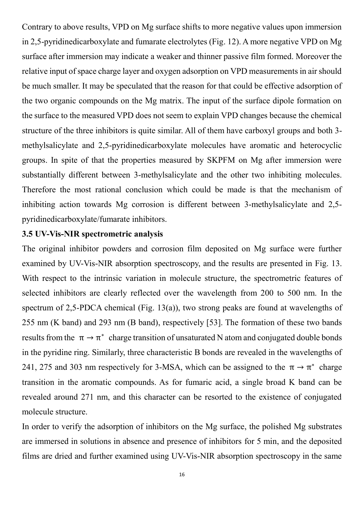Contrary to above results, VPD on Mg surface shifts to more negative values upon immersion in 2,5-pyridinedicarboxylate and fumarate electrolytes (Fig. 12). A more negative VPD on Mg surface after immersion may indicate a weaker and thinner passive film formed. Moreover the relative input of space charge layer and oxygen adsorption on VPD measurements in air should be much smaller. It may be speculated that the reason for that could be effective adsorption of the two organic compounds on the Mg matrix. The input of the surface dipole formation on the surface to the measured VPD does not seem to explain VPD changes because the chemical structure of the three inhibitors is quite similar. All of them have carboxyl groups and both 3 methylsalicylate and 2,5-pyridinedicarboxylate molecules have aromatic and heterocyclic groups. In spite of that the properties measured by SKPFM on Mg after immersion were substantially different between 3-methylsalicylate and the other two inhibiting molecules. Therefore the most rational conclusion which could be made is that the mechanism of inhibiting action towards Mg corrosion is different between 3-methylsalicylate and 2,5 pyridinedicarboxylate/fumarate inhibitors.

### **3.5 UV-Vis-NIR spectrometric analysis**

The original inhibitor powders and corrosion film deposited on Mg surface were further examined by UV-Vis-NIR absorption spectroscopy, and the results are presented in Fig. 13. With respect to the intrinsic variation in molecule structure, the spectrometric features of selected inhibitors are clearly reflected over the wavelength from 200 to 500 nm. In the spectrum of 2,5-PDCA chemical (Fig. 13(a)), two strong peaks are found at wavelengths of 255 nm (K band) and 293 nm (B band), respectively [53]. The formation of these two bands results from the  $\pi \to \pi^*$  charge transition of unsaturated N atom and conjugated double bonds in the pyridine ring. Similarly, three characteristic B bonds are revealed in the wavelengths of 241, 275 and 303 nm respectively for 3-MSA, which can be assigned to the  $\pi \rightarrow \pi^*$  charge transition in the aromatic compounds. As for fumaric acid, a single broad K band can be revealed around 271 nm, and this character can be resorted to the existence of conjugated molecule structure.

In order to verify the adsorption of inhibitors on the Mg surface, the polished Mg substrates are immersed in solutions in absence and presence of inhibitors for 5 min, and the deposited films are dried and further examined using UV-Vis-NIR absorption spectroscopy in the same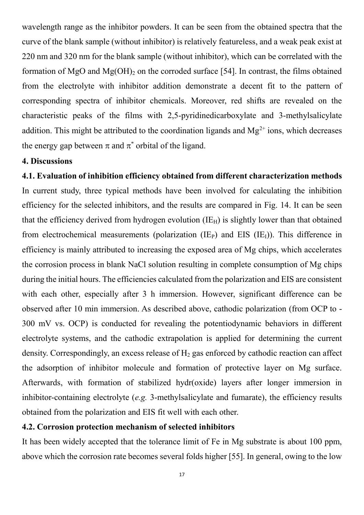wavelength range as the inhibitor powders. It can be seen from the obtained spectra that the curve of the blank sample (without inhibitor) is relatively featureless, and a weak peak exist at 220 nm and 320 nm for the blank sample (without inhibitor), which can be correlated with the formation of MgO and Mg(OH)<sub>2</sub> on the corroded surface [54]. In contrast, the films obtained from the electrolyte with inhibitor addition demonstrate a decent fit to the pattern of corresponding spectra of inhibitor chemicals. Moreover, red shifts are revealed on the characteristic peaks of the films with 2,5-pyridinedicarboxylate and 3-methylsalicylate addition. This might be attributed to the coordination ligands and  $Mg^{2+}$  ions, which decreases the energy gap between  $\pi$  and  $\pi^*$  orbital of the ligand.

### **4. Discussions**

**4.1. Evaluation of inhibition efficiency obtained from different characterization methods** In current study, three typical methods have been involved for calculating the inhibition efficiency for the selected inhibitors, and the results are compared in Fig. 14. It can be seen that the efficiency derived from hydrogen evolution  $(IE_H)$  is slightly lower than that obtained from electrochemical measurements (polarization  $(IE<sub>P</sub>)$ ) and EIS  $(IE<sub>I</sub>)$ ). This difference in efficiency is mainly attributed to increasing the exposed area of Mg chips, which accelerates the corrosion process in blank NaCl solution resulting in complete consumption of Mg chips during the initial hours. The efficiencies calculated from the polarization and EIS are consistent with each other, especially after 3 h immersion. However, significant difference can be observed after 10 min immersion. As described above, cathodic polarization (from OCP to - 300 mV vs. OCP) is conducted for revealing the potentiodynamic behaviors in different electrolyte systems, and the cathodic extrapolation is applied for determining the current density. Correspondingly, an excess release of  $H<sub>2</sub>$  gas enforced by cathodic reaction can affect the adsorption of inhibitor molecule and formation of protective layer on Mg surface. Afterwards, with formation of stabilized hydr(oxide) layers after longer immersion in inhibitor-containing electrolyte (*e.g.* 3-methylsalicylate and fumarate), the efficiency results obtained from the polarization and EIS fit well with each other.

### **4.2. Corrosion protection mechanism of selected inhibitors**

It has been widely accepted that the tolerance limit of Fe in Mg substrate is about 100 ppm, above which the corrosion rate becomes several folds higher [55]. In general, owing to the low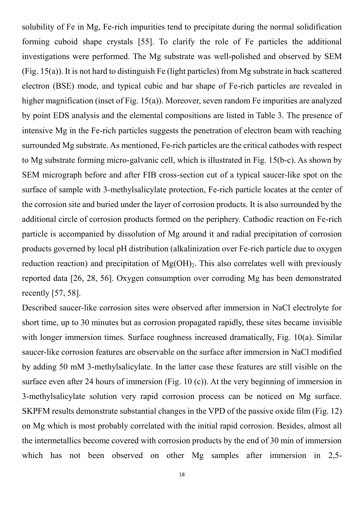solubility of Fe in Mg, Fe-rich impurities tend to precipitate during the normal solidification forming cuboid shape crystals [55]. To clarify the role of Fe particles the additional investigations were performed. The Mg substrate was well-polished and observed by SEM (Fig. 15(a)). It is not hard to distinguish Fe (light particles) from Mg substrate in back scattered electron (BSE) mode, and typical cubic and bar shape of Fe-rich particles are revealed in higher magnification (inset of Fig. 15(a)). Moreover, seven random Fe impurities are analyzed by point EDS analysis and the elemental compositions are listed in Table 3. The presence of intensive Mg in the Fe-rich particles suggests the penetration of electron beam with reaching surrounded Mg substrate. As mentioned, Fe-rich particles are the critical cathodes with respect to Mg substrate forming micro-galvanic cell, which is illustrated in Fig. 15(b-c). As shown by SEM micrograph before and after FIB cross-section cut of a typical saucer-like spot on the surface of sample with 3-methylsalicylate protection, Fe-rich particle locates at the center of the corrosion site and buried under the layer of corrosion products. It is also surrounded by the additional circle of corrosion products formed on the periphery. Cathodic reaction on Fe-rich particle is accompanied by dissolution of Mg around it and radial precipitation of corrosion products governed by local pH distribution (alkalinization over Fe-rich particle due to oxygen reduction reaction) and precipitation of  $Mg(OH)_2$ . This also correlates well with previously reported data [26, 28, 56]. Oxygen consumption over corroding Mg has been demonstrated recently [57, 58].

Described saucer-like corrosion sites were observed after immersion in NaCl electrolyte for short time, up to 30 minutes but as corrosion propagated rapidly, these sites became invisible with longer immersion times. Surface roughness increased dramatically, Fig. 10(a). Similar saucer-like corrosion features are observable on the surface after immersion in NaCl modified by adding 50 mM 3-methylsalicylate. In the latter case these features are still visible on the surface even after 24 hours of immersion (Fig. 10 (c)). At the very beginning of immersion in 3-methylsalicylate solution very rapid corrosion process can be noticed on Mg surface. SKPFM results demonstrate substantial changes in the VPD of the passive oxide film (Fig. 12) on Mg which is most probably correlated with the initial rapid corrosion. Besides, almost all the intermetallics become covered with corrosion products by the end of 30 min of immersion which has not been observed on other Mg samples after immersion in 2,5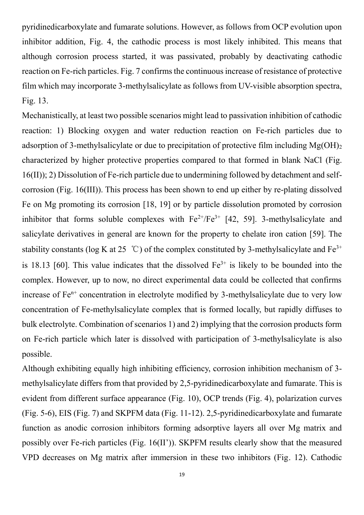pyridinedicarboxylate and fumarate solutions. However, as follows from OCP evolution upon inhibitor addition, Fig. 4, the cathodic process is most likely inhibited. This means that although corrosion process started, it was passivated, probably by deactivating cathodic reaction on Fe-rich particles. Fig. 7 confirms the continuous increase of resistance of protective film which may incorporate 3-methylsalicylate as follows from UV-visible absorption spectra, Fig. 13.

Mechanistically, at least two possible scenarios might lead to passivation inhibition of cathodic reaction: 1) Blocking oxygen and water reduction reaction on Fe-rich particles due to adsorption of 3-methylsalicylate or due to precipitation of protective film including  $Mg(OH)_{2}$ characterized by higher protective properties compared to that formed in blank NaCl (Fig. 16(II)); 2) Dissolution of Fe-rich particle due to undermining followed by detachment and selfcorrosion (Fig. 16(III)). This process has been shown to end up either by re-plating dissolved Fe on Mg promoting its corrosion [18, 19] or by particle dissolution promoted by corrosion inhibitor that forms soluble complexes with  $Fe^{2+}/Fe^{3+}$  [42, 59]. 3-methylsalicylate and salicylate derivatives in general are known for the property to chelate iron cation [59]. The stability constants (log K at 25 °C) of the complex constituted by 3-methylsalicylate and  $Fe^{3+}$ is 18.13 [60]. This value indicates that the dissolved  $Fe^{3+}$  is likely to be bounded into the complex. However, up to now, no direct experimental data could be collected that confirms increase of  $Fe<sup>n+</sup>$  concentration in electrolyte modified by 3-methylsalicylate due to very low concentration of Fe-methylsalicylate complex that is formed locally, but rapidly diffuses to bulk electrolyte. Combination of scenarios 1) and 2) implying that the corrosion products form on Fe-rich particle which later is dissolved with participation of 3-methylsalicylate is also possible.

Although exhibiting equally high inhibiting efficiency, corrosion inhibition mechanism of 3 methylsalicylate differs from that provided by 2,5-pyridinedicarboxylate and fumarate. This is evident from different surface appearance (Fig. 10), OCP trends (Fig. 4), polarization curves (Fig. 5-6), EIS (Fig. 7) and SKPFM data (Fig. 11-12). 2,5-pyridinedicarboxylate and fumarate function as anodic corrosion inhibitors forming adsorptive layers all over Mg matrix and possibly over Fe-rich particles (Fig. 16(II')). SKPFM results clearly show that the measured VPD decreases on Mg matrix after immersion in these two inhibitors (Fig. 12). Cathodic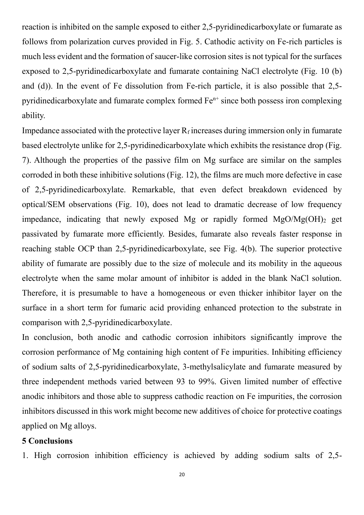reaction is inhibited on the sample exposed to either 2,5-pyridinedicarboxylate or fumarate as follows from polarization curves provided in Fig. 5. Cathodic activity on Fe-rich particles is much less evident and the formation of saucer-like corrosion sites is not typical for the surfaces exposed to 2,5-pyridinedicarboxylate and fumarate containing NaCl electrolyte (Fig. 10 (b) and (d)). In the event of Fe dissolution from Fe-rich particle, it is also possible that 2,5 pyridinedicarboxylate and fumarate complex formed  $Fe<sup>n+</sup>$  since both possess iron complexing ability.

Impedance associated with the protective layer  $R_f$  increases during immersion only in fumarate based electrolyte unlike for 2,5-pyridinedicarboxylate which exhibits the resistance drop (Fig. 7). Although the properties of the passive film on Mg surface are similar on the samples corroded in both these inhibitive solutions (Fig. 12), the films are much more defective in case of 2,5-pyridinedicarboxylate. Remarkable, that even defect breakdown evidenced by optical/SEM observations (Fig. 10), does not lead to dramatic decrease of low frequency impedance, indicating that newly exposed Mg or rapidly formed  $MgO/Mg(OH)$  get passivated by fumarate more efficiently. Besides, fumarate also reveals faster response in reaching stable OCP than 2,5-pyridinedicarboxylate, see Fig. 4(b). The superior protective ability of fumarate are possibly due to the size of molecule and its mobility in the aqueous electrolyte when the same molar amount of inhibitor is added in the blank NaCl solution. Therefore, it is presumable to have a homogeneous or even thicker inhibitor layer on the surface in a short term for fumaric acid providing enhanced protection to the substrate in comparison with 2,5-pyridinedicarboxylate.

In conclusion, both anodic and cathodic corrosion inhibitors significantly improve the corrosion performance of Mg containing high content of Fe impurities. Inhibiting efficiency of sodium salts of 2,5-pyridinedicarboxylate, 3-methylsalicylate and fumarate measured by three independent methods varied between 93 to 99%. Given limited number of effective anodic inhibitors and those able to suppress cathodic reaction on Fe impurities, the corrosion inhibitors discussed in this work might become new additives of choice for protective coatings applied on Mg alloys.

### **5 Conclusions**

1. High corrosion inhibition efficiency is achieved by adding sodium salts of 2,5-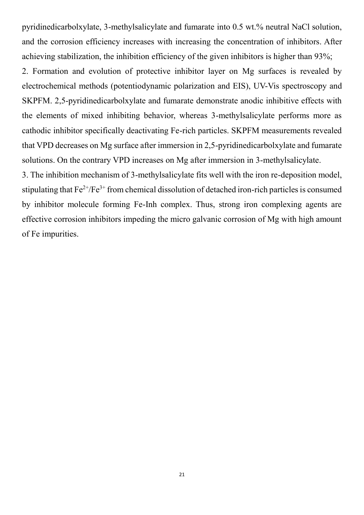pyridinedicarbolxylate, 3-methylsalicylate and fumarate into 0.5 wt.% neutral NaCl solution, and the corrosion efficiency increases with increasing the concentration of inhibitors. After achieving stabilization, the inhibition efficiency of the given inhibitors is higher than 93%;

2. Formation and evolution of protective inhibitor layer on Mg surfaces is revealed by electrochemical methods (potentiodynamic polarization and EIS), UV-Vis spectroscopy and SKPFM. 2,5-pyridinedicarbolxylate and fumarate demonstrate anodic inhibitive effects with the elements of mixed inhibiting behavior, whereas 3-methylsalicylate performs more as cathodic inhibitor specifically deactivating Fe-rich particles. SKPFM measurements revealed that VPD decreases on Mg surface after immersion in 2,5-pyridinedicarbolxylate and fumarate solutions. On the contrary VPD increases on Mg after immersion in 3-methylsalicylate.

3. The inhibition mechanism of 3-methylsalicylate fits well with the iron re-deposition model, stipulating that  $Fe^{2+}/Fe^{3+}$  from chemical dissolution of detached iron-rich particles is consumed by inhibitor molecule forming Fe-Inh complex. Thus, strong iron complexing agents are effective corrosion inhibitors impeding the micro galvanic corrosion of Mg with high amount of Fe impurities.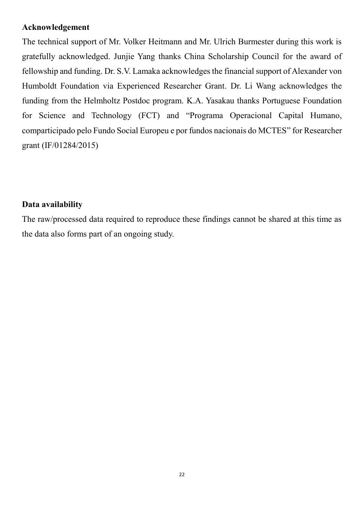### **Acknowledgement**

The technical support of Mr. Volker Heitmann and Mr. Ulrich Burmester during this work is gratefully acknowledged. Junjie Yang thanks China Scholarship Council for the award of fellowship and funding. Dr. S.V. Lamaka acknowledges the financial support of Alexander von Humboldt Foundation via Experienced Researcher Grant. Dr. Li Wang acknowledges the funding from the Helmholtz Postdoc program. K.A. Yasakau thanks Portuguese Foundation for Science and Technology (FCT) and "Programa Operacional Capital Humano, comparticipado pelo Fundo Social Europeu e por fundos nacionais do MCTES" for Researcher grant (IF/01284/2015)

### **Data availability**

The raw/processed data required to reproduce these findings cannot be shared at this time as the data also forms part of an ongoing study.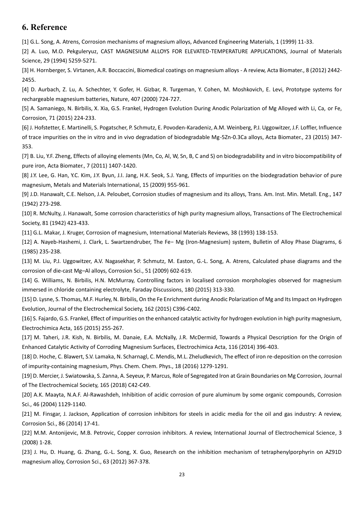### **6. Reference**

[1] G.L. Song, A. Atrens, Corrosion mechanisms of magnesium alloys, Advanced Engineering Materials, 1 (1999) 11-33.

[2] A. Luo, M.O. Pekguleryuz, CAST MAGNESIUM ALLOYS FOR ELEVATED-TEMPERATURE APPLICATIONS, Journal of Materials Science, 29 (1994) 5259-5271.

[3] H. Hornberger, S. Virtanen, A.R. Boccaccini, Biomedical coatings on magnesium alloys - A review, Acta Biomater., 8 (2012) 2442- 2455.

[4] D. Aurbach, Z. Lu, A. Schechter, Y. Gofer, H. Gizbar, R. Turgeman, Y. Cohen, M. Moshkovich, E. Levi, Prototype systems for rechargeable magnesium batteries, Nature, 407 (2000) 724-727.

[5] A. Samaniego, N. Birbilis, X. Xia, G.S. Frankel, Hydrogen Evolution During Anodic Polarization of Mg Alloyed with Li, Ca, or Fe, Corrosion, 71 (2015) 224-233.

[6] J. Hofstetter, E. Martinelli, S. Pogatscher, P. Schmutz, E. Povoden-Karadeniz, A.M. Weinberg, P.J. Uggowitzer, J.F. Loffler, Influence of trace impurities on the in vitro and in vivo degradation of biodegradable Mg-5Zn-0.3Ca alloys, Acta Biomater., 23 (2015) 347- 353.

[7] B. Liu, Y.F. Zheng, Effects of alloying elements (Mn, Co, Al, W, Sn, B, C and S) on biodegradability and in vitro biocompatibility of pure iron, Acta Biomater., 7 (2011) 1407-1420.

[8] J.Y. Lee, G. Han, Y.C. Kim, J.Y. Byun, J.I. Jang, H.K. Seok, S.J. Yang, Effects of impurities on the biodegradation behavior of pure magnesium, Metals and Materials International, 15 (2009) 955-961.

[9] J.D. Hanawalt, C.E. Nelson, J.A. Peloubet, Corrosion studies of magnesium and its alloys, Trans. Am. Inst. Min. Metall. Eng., 147 (1942) 273-298.

[10] R. McNulty, J. Hanawalt, Some corrosion characteristics of high purity magnesium alloys, Transactions of The Electrochemical Society, 81 (1942) 423-433.

[11] G.L. Makar, J. Kruger, Corrosion of magnesium, International Materials Reviews, 38 (1993) 138-153.

[12] A. Nayeb-Hashemi, J. Clark, L. Swartzendruber, The Fe− Mg (Iron-Magnesium) system, Bulletin of Alloy Phase Diagrams, 6 (1985) 235-238.

[13] M. Liu, P.J. Uggowitzer, A.V. Nagasekhar, P. Schmutz, M. Easton, G.-L. Song, A. Atrens, Calculated phase diagrams and the corrosion of die-cast Mg–Al alloys, Corrosion Sci., 51 (2009) 602-619.

[14] G. Williams, N. Birbilis, H.N. McMurray, Controlling factors in localised corrosion morphologies observed for magnesium immersed in chloride containing electrolyte, Faraday Discussions, 180 (2015) 313-330.

[15] D. Lysne, S. Thomas, M.F. Hurley, N. Birbilis, On the Fe Enrichment during Anodic Polarization of Mg and Its Impact on Hydrogen Evolution, Journal of the Electrochemical Society, 162 (2015) C396-C402.

[16] S. Fajardo, G.S. Frankel, Effect of impurities on the enhanced catalytic activity for hydrogen evolution in high purity magnesium, Electrochimica Acta, 165 (2015) 255-267.

[17] M. Taheri, J.R. Kish, N. Birbilis, M. Danaie, E.A. McNally, J.R. McDermid, Towards a Physical Description for the Origin of Enhanced Catalytic Activity of Corroding Magnesium Surfaces, Electrochimica Acta, 116 (2014) 396-403.

[18] D. Hoche, C. Blawert, S.V. Lamaka, N. Scharnagl, C. Mendis, M.L. Zheludkevich, The effect of iron re-deposition on the corrosion of impurity-containing magnesium, Phys. Chem. Chem. Phys., 18 (2016) 1279-1291.

[19] D. Mercier, J. Swiatowska, S. Zanna, A. Seyeux, P. Marcus, Role of Segregated Iron at Grain Boundaries on Mg Corrosion, Journal of The Electrochemical Society, 165 (2018) C42-C49.

[20] A.K. Maayta, N.A.F. Al-Rawashdeh, Inhibition of acidic corrosion of pure aluminum by some organic compounds, Corrosion Sci., 46 (2004) 1129-1140.

[21] M. Finsgar, J. Jackson, Application of corrosion inhibitors for steels in acidic media for the oil and gas industry: A review, Corrosion Sci., 86 (2014) 17-41.

[22] M.M. Antonijevic, M.B. Petrovic, Copper corrosion inhibitors. A review, International Journal of Electrochemical Science, 3 (2008) 1-28.

[23] J. Hu, D. Huang, G. Zhang, G.-L. Song, X. Guo, Research on the inhibition mechanism of tetraphenylporphyrin on AZ91D magnesium alloy, Corrosion Sci., 63 (2012) 367-378.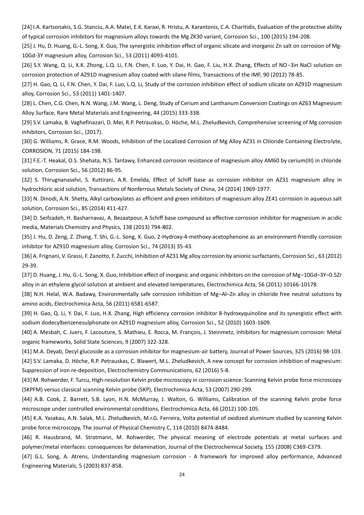[24] I.A. Kartsonakis, S.G. Stanciu, A.A. Matei, E.K. Karaxi, R. Hristu, A. Karantonis, C.A. Charitidis, Evaluation of the protective ability of typical corrosion inhibitors for magnesium alloys towards the Mg ZK30 variant, Corrosion Sci., 100 (2015) 194-208.

[25] J. Hu, D. Huang, G.-L. Song, X. Guo, The synergistic inhibition effect of organic silicate and inorganic Zn salt on corrosion of Mg-10Gd-3Y magnesium alloy, Corrosion Sci., 53 (2011) 4093-4101.

[26] S.Y. Wang, Q. Li, X.K. Zhong, L.Q. Li, F.N. Chen, F. Luo, Y. Dai, H. Gao, F. Liu, H.X. Zhang, Effects of NO−3in NaCl solution on corrosion protection of AZ91D magnesium alloy coated with silane films, Transactions of the IMF, 90 (2012) 78-85.

[27] H. Gao, Q. Li, F.N. Chen, Y. Dai, F. Luo, L.Q. Li, Study of the corrosion inhibition effect of sodium silicate on AZ91D magnesium alloy, Corrosion Sci., 53 (2011) 1401-1407.

[28] L. Chen, C.G. Chen, N.N. Wang, J.M. Wang, L. Deng, Study of Cerium and Lanthanum Conversion Coatings on AZ63 Magnesium Alloy Surface, Rare Metal Materials and Engineering, 44 (2015) 333-338.

[29] S.V. Lamaka, B. Vaghefinazari, D. Mei, R.P. Petrauskas, D. Höche, M.L. Zheludkevich, Comprehensive screening of Mg corrosion inhibitors, Corrosion Sci., (2017).

[30] G. Williams, R. Grace, R.M. Woods, Inhibition of the Localized Corrosion of Mg Alloy AZ31 in Chloride Containing Electrolyte, CORROSION, 71 (2015) 184-198.

[31] F.E.-T. Heakal, O.S. Shehata, N.S. Tantawy, Enhanced corrosion resistance of magnesium alloy AM60 by cerium(III) in chloride solution, Corrosion Sci., 56 (2012) 86-95.

[32] S. Thirugnanaselvi, S. Kuttirani, A.R. Emelda, Effect of Schiff base as corrosion inhibitor on AZ31 magnesium alloy in hydrochloric acid solution, Transactions of Nonferrous Metals Society of China, 24 (2014) 1969-1977.

[33] N. Dinodi, A.N. Shetty, Alkyl carboxylates as efficient and green inhibitors of magnesium alloy ZE41 corrosion in aqueous salt solution, Corrosion Sci., 85 (2014) 411-427.

[34] D. Seifzadeh, H. Basharnavaz, A. Bezaatpour, A Schiff base compound as effective corrosion inhibitor for magnesium in acidic media, Materials Chemistry and Physics, 138 (2013) 794-802.

[35] J. Hu, D. Zeng, Z. Zhang, T. Shi, G.-L. Song, X. Guo, 2-Hydroxy-4-methoxy-acetophenone as an environment-friendly corrosion inhibitor for AZ91D magnesium alloy, Corrosion Sci., 74 (2013) 35-43.

[36] A. Frignani, V. Grassi, F. Zanotto, F. Zucchi, Inhibition of AZ31 Mg alloy corrosion by anionic surfactants, Corrosion Sci., 63 (2012) 29-39.

[37] D. Huang, J. Hu, G.-L. Song, X. Guo, Inhibition effect of inorganic and organic inhibitors on the corrosion of Mg–10Gd–3Y–0.5Zr alloy in an ethylene glycol solution at ambient and elevated temperatures, Electrochimica Acta, 56 (2011) 10166-10178.

[38] N.H. Helal, W.A. Badawy, Environmentally safe corrosion inhibition of Mg–Al–Zn alloy in chloride free neutral solutions by amino acids, Electrochimica Acta, 56 (2011) 6581-6587.

[39] H. Gao, Q. Li, Y. Dai, F. Luo, H.X. Zhang, High efficiency corrosion inhibitor 8-hydroxyquinoline and its synergistic effect with sodium dodecylbenzenesulphonate on AZ91D magnesium alloy, Corrosion Sci., 52 (2010) 1603-1609.

[40] A. Mesbah, C. Juers, F. Lacouture, S. Mathieu, E. Rocca, M. François, J. Steinmetz, Inhibitors for magnesium corrosion: Metal organic frameworks, Solid State Sciences, 9 (2007) 322-328.

[41] M.A. Deyab, Decyl glucoside as a corrosion inhibitor for magnesium-air battery, Journal of Power Sources, 325 (2016) 98-103. [42] S.V. Lamaka, D. Höche, R.P. Petrauskas, C. Blawert, M.L. Zheludkevich, A new concept for corrosion inhibition of magnesium: Suppression of iron re-deposition, Electrochemistry Communications, 62 (2016) 5-8.

[43] M. Rohwerder, F. Turcu, High-resolution Kelvin probe microscopy in corrosion science: Scanning Kelvin probe force microscopy (SKPFM) versus classical scanning Kelvin probe (SKP), Electrochimica Acta, 53 (2007) 290-299.

[44] A.B. Cook, Z. Barrett, S.B. Lyon, H.N. McMurray, J. Walton, G. Williams, Calibration of the scanning Kelvin probe force microscope under controlled environmental conditions, Electrochimica Acta, 66 (2012) 100-105.

[45] K.A. Yasakau, A.N. Salak, M.L. Zheludkevich, M.r.G. Ferreira, Volta potential of oxidized aluminum studied by scanning Kelvin probe force microscopy, The Journal of Physical Chemistry C, 114 (2010) 8474-8484.

[46] R. Hausbrand, M. Stratmann, M. Rohwerder, The physical meaning of electrode potentials at metal surfaces and polymer/metal interfaces: consequences for delamination, Journal of the Electrochemical Society, 155 (2008) C369-C379.

[47] G.L. Song, A. Atrens, Understanding magnesium corrosion - A framework for improved alloy performance, Advanced Engineering Materials, 5 (2003) 837-858.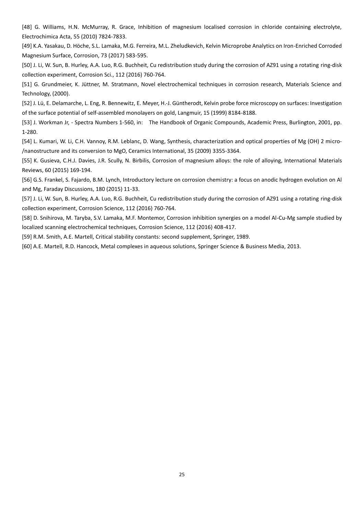[48] G. Williams, H.N. McMurray, R. Grace, Inhibition of magnesium localised corrosion in chloride containing electrolyte, Electrochimica Acta, 55 (2010) 7824-7833.

[49] K.A. Yasakau, D. Höche, S.L. Lamaka, M.G. Ferreira, M.L. Zheludkevich, Kelvin Microprobe Analytics on Iron-Enriched Corroded Magnesium Surface, Corrosion, 73 (2017) 583-595.

[50] J. Li, W. Sun, B. Hurley, A.A. Luo, R.G. Buchheit, Cu redistribution study during the corrosion of AZ91 using a rotating ring-disk collection experiment, Corrosion Sci., 112 (2016) 760-764.

[51] G. Grundmeier, K. Jüttner, M. Stratmann, Novel electrochemical techniques in corrosion research, Materials Science and Technology, (2000).

[52] J. Lü, E. Delamarche, L. Eng, R. Bennewitz, E. Meyer, H.-J. Güntherodt, Kelvin probe force microscopy on surfaces: Investigation of the surface potential of self-assembled monolayers on gold, Langmuir, 15 (1999) 8184-8188.

[53] J. Workman Jr, - Spectra Numbers 1-560, in: The Handbook of Organic Compounds, Academic Press, Burlington, 2001, pp. 1-280.

[54] L. Kumari, W. Li, C.H. Vannoy, R.M. Leblanc, D. Wang, Synthesis, characterization and optical properties of Mg (OH) 2 micro- /nanostructure and its conversion to MgO, Ceramics International, 35 (2009) 3355-3364.

[55] K. Gusieva, C.H.J. Davies, J.R. Scully, N. Birbilis, Corrosion of magnesium alloys: the role of alloying, International Materials Reviews, 60 (2015) 169-194.

[56] G.S. Frankel, S. Fajardo, B.M. Lynch, Introductory lecture on corrosion chemistry: a focus on anodic hydrogen evolution on Al and Mg, Faraday Discussions, 180 (2015) 11-33.

[57] J. Li, W. Sun, B. Hurley, A.A. Luo, R.G. Buchheit, Cu redistribution study during the corrosion of AZ91 using a rotating ring-disk collection experiment, Corrosion Science, 112 (2016) 760-764.

[58] D. Snihirova, M. Taryba, S.V. Lamaka, M.F. Montemor, Corrosion inhibition synergies on a model Al-Cu-Mg sample studied by localized scanning electrochemical techniques, Corrosion Science, 112 (2016) 408-417.

[59] R.M. Smith, A.E. Martell, Critical stability constants: second supplement, Springer, 1989.

[60] A.E. Martell, R.D. Hancock, Metal complexes in aqueous solutions, Springer Science & Business Media, 2013.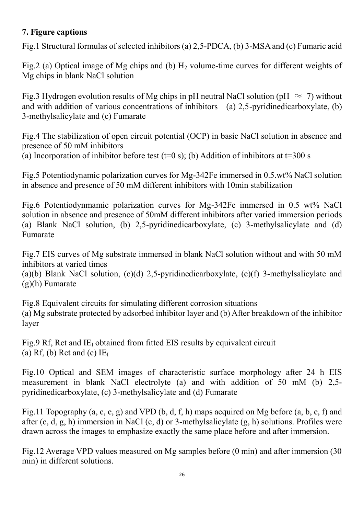### **7. Figure captions**

Fig.1 Structural formulas of selected inhibitors (a) 2,5-PDCA, (b) 3-MSA and (c) Fumaric acid

Fig.2 (a) Optical image of Mg chips and (b)  $H_2$  volume-time curves for different weights of Mg chips in blank NaCl solution

Fig.3 Hydrogen evolution results of Mg chips in pH neutral NaCl solution (pH  $\approx$  7) without and with addition of various concentrations of inhibitors (a) 2,5-pyridinedicarboxylate, (b) 3-methylsalicylate and (c) Fumarate

Fig.4 The stabilization of open circuit potential (OCP) in basic NaCl solution in absence and presence of 50 mM inhibitors

(a) Incorporation of inhibitor before test (t=0 s); (b) Addition of inhibitors at t=300 s

Fig.5 Potentiodynamic polarization curves for Mg-342Fe immersed in 0.5.wt% NaCl solution in absence and presence of 50 mM different inhibitors with 10min stabilization

Fig.6 Potentiodynmamic polarization curves for Mg-342Fe immersed in 0.5 wt% NaCl solution in absence and presence of 50mM different inhibitors after varied immersion periods (a) Blank NaCl solution, (b) 2,5-pyridinedicarboxylate, (c) 3-methylsalicylate and (d) Fumarate

Fig.7 EIS curves of Mg substrate immersed in blank NaCl solution without and with 50 mM inhibitors at varied times

(a)(b) Blank NaCl solution, (c)(d) 2,5-pyridinedicarboxylate, (e)(f) 3-methylsalicylate and (g)(h) Fumarate

Fig.8 Equivalent circuits for simulating different corrosion situations (a) Mg substrate protected by adsorbed inhibitor layer and (b) After breakdown of the inhibitor layer

Fig.9 Rf, Rct and  $IE<sub>I</sub>$  obtained from fitted EIS results by equivalent circuit (a) Rf, (b) Rct and (c)  $IE<sub>I</sub>$ 

Fig.10 Optical and SEM images of characteristic surface morphology after 24 h EIS measurement in blank NaCl electrolyte (a) and with addition of 50 mM (b) 2,5 pyridinedicarboxylate, (c) 3-methylsalicylate and (d) Fumarate

Fig.11 Topography (a, c, e, g) and VPD (b, d, f, h) maps acquired on Mg before (a, b, e, f) and after (c, d, g, h) immersion in NaCl (c, d) or 3-methylsalicylate (g, h) solutions. Profiles were drawn across the images to emphasize exactly the same place before and after immersion.

Fig.12 Average VPD values measured on Mg samples before (0 min) and after immersion (30 min) in different solutions.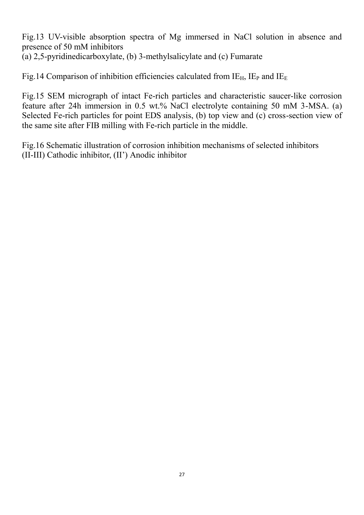Fig.13 UV-visible absorption spectra of Mg immersed in NaCl solution in absence and presence of 50 mM inhibitors (a) 2,5-pyridinedicarboxylate, (b) 3-methylsalicylate and (c) Fumarate

Fig.14 Comparison of inhibition efficiencies calculated from  $IE_H$ ,  $IE_P$  and  $IE_E$ 

Fig.15 SEM micrograph of intact Fe-rich particles and characteristic saucer-like corrosion feature after 24h immersion in 0.5 wt.% NaCl electrolyte containing 50 mM 3-MSA. (a) Selected Fe-rich particles for point EDS analysis, (b) top view and (c) cross-section view of the same site after FIB milling with Fe-rich particle in the middle.

Fig.16 Schematic illustration of corrosion inhibition mechanisms of selected inhibitors (II-III) Cathodic inhibitor, (II') Anodic inhibitor